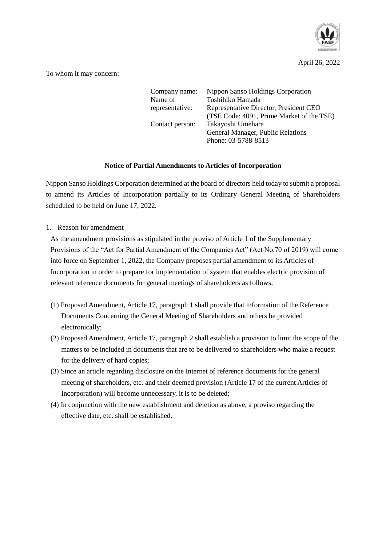

April 26, 2022

To whom it may concern:

| Company name:   | Nippon Sanso Holdings Corporation         |
|-----------------|-------------------------------------------|
| Name of         | Toshihiko Hamada                          |
| representative: | Representative Director, President CEO    |
|                 | (TSE Code: 4091, Prime Market of the TSE) |
| Contact person: | Takayoshi Umehara                         |
|                 | General Manager, Public Relations         |
|                 | Phone: 03-5788-8513                       |

## **Notice of Partial Amendments to Articles of Incorporation**

Nippon Sanso Holdings Corporation determined at the board of directors held today to submit a proposal to amend its Articles of Incorporation partially to its Ordinary General Meeting of Shareholders scheduled to be held on June 17, 2022.

1. Reason for amendment

As the amendment provisions as stipulated in the proviso of Article 1 of the Supplementary Provisions of the "Act for Partial Amendment of the Companies Act" (Act No.70 of 2019) will come into force on September 1, 2022, the Company proposes partial amendment to its Articles of Incorporation in order to prepare for implementation of system that enables electric provision of relevant reference documents for general meetings of shareholders as follows;

- (1) Proposed Amendment, Article 17, paragraph 1 shall provide that information of the Reference Documents Concerning the General Meeting of Shareholders and others be provided electronically;
- (2) Proposed Amendment, Article 17, paragraph 2 shall establish a provision to limit the scope of the matters to be included in documents that are to be delivered to shareholders who make a request for the delivery of hard copies;
- (3) Since an article regarding disclosure on the Internet of reference documents for the general meeting of shareholders, etc. and their deemed provision (Article 17 of the current Articles of Incorporation) will become unnecessary, it is to be deleted;
- (4) In conjunction with the new establishment and deletion as above, a proviso regarding the effective date, etc. shall be established.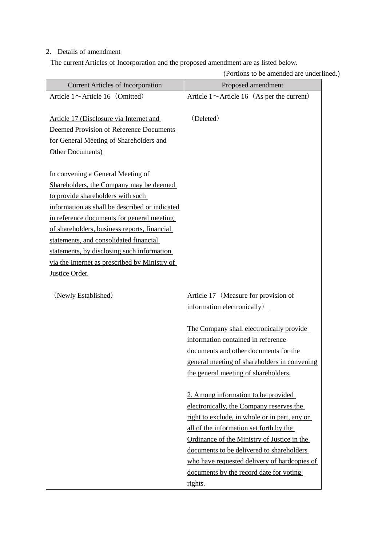## 2. Details of amendment

The current Articles of Incorporation and the proposed amendment are as listed below.

| ortions to be uniclided are underline            |
|--------------------------------------------------|
| Proposed amendment                               |
| Article 1 $\sim$ Article 16 (As per the current) |
|                                                  |
| (Deleted)                                        |
|                                                  |
|                                                  |
|                                                  |
|                                                  |
|                                                  |
|                                                  |
|                                                  |
|                                                  |
|                                                  |
|                                                  |
|                                                  |
|                                                  |
|                                                  |
|                                                  |
|                                                  |
| Article 17 (Measure for provision of             |
| information electronically)                      |
|                                                  |
| The Company shall electronically provide         |
| information contained in reference               |
| documents and other documents for the            |
| general meeting of shareholders in convening     |
| the general meeting of shareholders.             |
|                                                  |
| 2. Among information to be provided              |
| electronically, the Company reserves the         |
| right to exclude, in whole or in part, any or    |
| all of the information set forth by the          |
| Ordinance of the Ministry of Justice in the      |
| documents to be delivered to shareholders        |
| who have requested delivery of hardcopies of     |
| documents by the record date for voting          |
| rights.                                          |
|                                                  |

(Portions to be amended are underlined.)